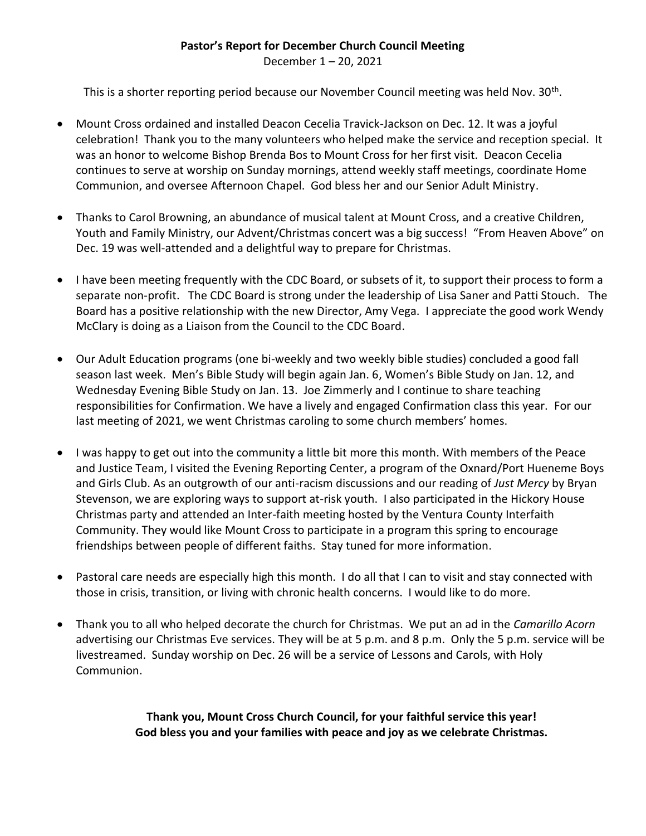### **Pastor's Report for December Church Council Meeting**

December 1 – 20, 2021

This is a shorter reporting period because our November Council meeting was held Nov. 30<sup>th</sup>.

- Mount Cross ordained and installed Deacon Cecelia Travick-Jackson on Dec. 12. It was a joyful celebration! Thank you to the many volunteers who helped make the service and reception special. It was an honor to welcome Bishop Brenda Bos to Mount Cross for her first visit. Deacon Cecelia continues to serve at worship on Sunday mornings, attend weekly staff meetings, coordinate Home Communion, and oversee Afternoon Chapel. God bless her and our Senior Adult Ministry.
- Thanks to Carol Browning, an abundance of musical talent at Mount Cross, and a creative Children, Youth and Family Ministry, our Advent/Christmas concert was a big success! "From Heaven Above" on Dec. 19 was well-attended and a delightful way to prepare for Christmas.
- I have been meeting frequently with the CDC Board, or subsets of it, to support their process to form a separate non-profit. The CDC Board is strong under the leadership of Lisa Saner and Patti Stouch. The Board has a positive relationship with the new Director, Amy Vega. I appreciate the good work Wendy McClary is doing as a Liaison from the Council to the CDC Board.
- Our Adult Education programs (one bi-weekly and two weekly bible studies) concluded a good fall season last week. Men's Bible Study will begin again Jan. 6, Women's Bible Study on Jan. 12, and Wednesday Evening Bible Study on Jan. 13. Joe Zimmerly and I continue to share teaching responsibilities for Confirmation. We have a lively and engaged Confirmation class this year. For our last meeting of 2021, we went Christmas caroling to some church members' homes.
- I was happy to get out into the community a little bit more this month. With members of the Peace and Justice Team, I visited the Evening Reporting Center, a program of the Oxnard/Port Hueneme Boys and Girls Club. As an outgrowth of our anti-racism discussions and our reading of *Just Mercy* by Bryan Stevenson, we are exploring ways to support at-risk youth. I also participated in the Hickory House Christmas party and attended an Inter-faith meeting hosted by the Ventura County Interfaith Community. They would like Mount Cross to participate in a program this spring to encourage friendships between people of different faiths. Stay tuned for more information.
- Pastoral care needs are especially high this month. I do all that I can to visit and stay connected with those in crisis, transition, or living with chronic health concerns. I would like to do more.
- Thank you to all who helped decorate the church for Christmas. We put an ad in the *Camarillo Acorn* advertising our Christmas Eve services. They will be at 5 p.m. and 8 p.m. Only the 5 p.m. service will be livestreamed. Sunday worship on Dec. 26 will be a service of Lessons and Carols, with Holy Communion.

**Thank you, Mount Cross Church Council, for your faithful service this year! God bless you and your families with peace and joy as we celebrate Christmas.**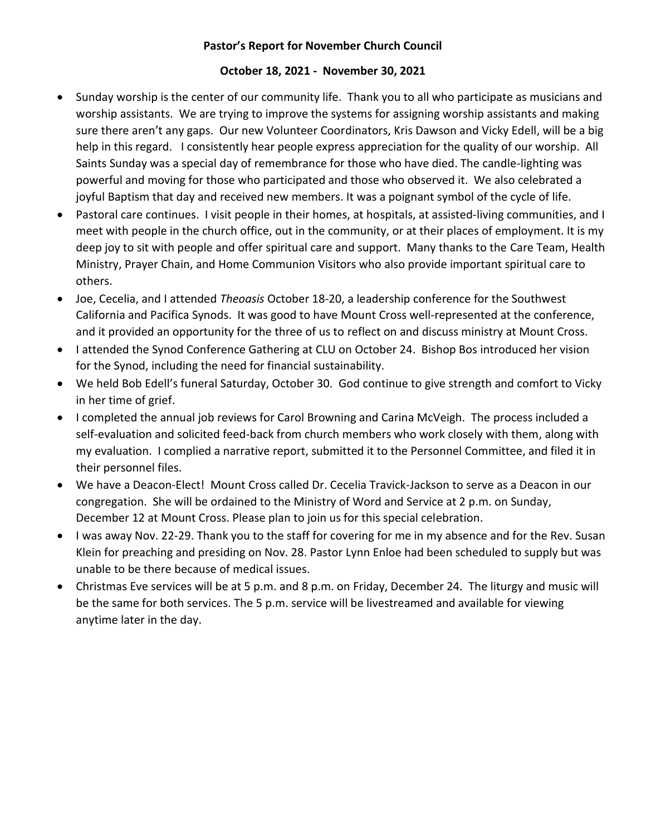### **Pastor's Report for November Church Council**

#### **October 18, 2021 - November 30, 2021**

- Sunday worship is the center of our community life. Thank you to all who participate as musicians and worship assistants. We are trying to improve the systems for assigning worship assistants and making sure there aren't any gaps. Our new Volunteer Coordinators, Kris Dawson and Vicky Edell, will be a big help in this regard. I consistently hear people express appreciation for the quality of our worship. All Saints Sunday was a special day of remembrance for those who have died. The candle-lighting was powerful and moving for those who participated and those who observed it. We also celebrated a joyful Baptism that day and received new members. It was a poignant symbol of the cycle of life.
- Pastoral care continues. I visit people in their homes, at hospitals, at assisted-living communities, and I meet with people in the church office, out in the community, or at their places of employment. It is my deep joy to sit with people and offer spiritual care and support. Many thanks to the Care Team, Health Ministry, Prayer Chain, and Home Communion Visitors who also provide important spiritual care to others.
- Joe, Cecelia, and I attended *Theoasis* October 18-20, a leadership conference for the Southwest California and Pacifica Synods. It was good to have Mount Cross well-represented at the conference, and it provided an opportunity for the three of us to reflect on and discuss ministry at Mount Cross.
- I attended the Synod Conference Gathering at CLU on October 24. Bishop Bos introduced her vision for the Synod, including the need for financial sustainability.
- We held Bob Edell's funeral Saturday, October 30. God continue to give strength and comfort to Vicky in her time of grief.
- I completed the annual job reviews for Carol Browning and Carina McVeigh. The process included a self-evaluation and solicited feed-back from church members who work closely with them, along with my evaluation. I complied a narrative report, submitted it to the Personnel Committee, and filed it in their personnel files.
- We have a Deacon-Elect! Mount Cross called Dr. Cecelia Travick-Jackson to serve as a Deacon in our congregation. She will be ordained to the Ministry of Word and Service at 2 p.m. on Sunday, December 12 at Mount Cross. Please plan to join us for this special celebration.
- I was away Nov. 22-29. Thank you to the staff for covering for me in my absence and for the Rev. Susan Klein for preaching and presiding on Nov. 28. Pastor Lynn Enloe had been scheduled to supply but was unable to be there because of medical issues.
- Christmas Eve services will be at 5 p.m. and 8 p.m. on Friday, December 24. The liturgy and music will be the same for both services. The 5 p.m. service will be livestreamed and available for viewing anytime later in the day.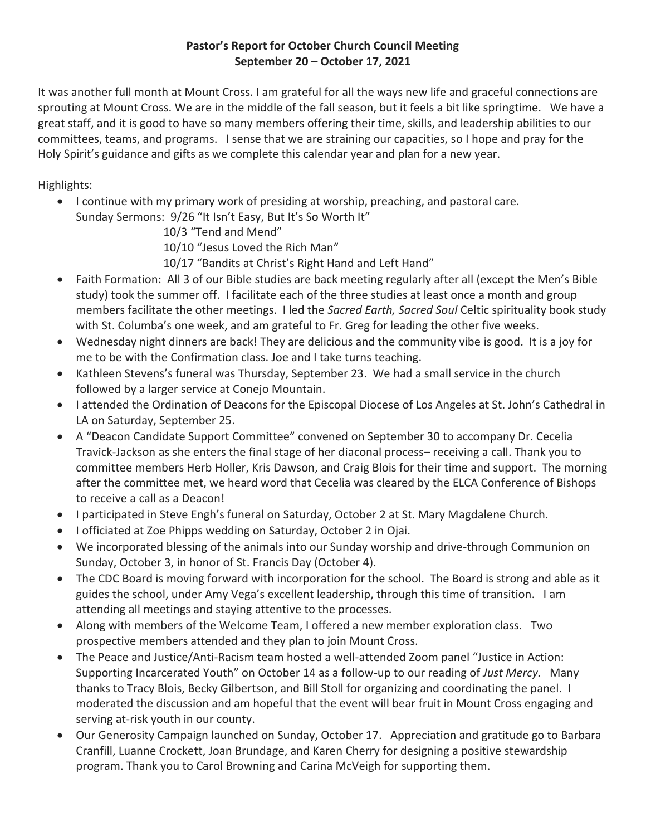### **Pastor's Report for October Church Council Meeting September 20 – October 17, 2021**

It was another full month at Mount Cross. I am grateful for all the ways new life and graceful connections are sprouting at Mount Cross. We are in the middle of the fall season, but it feels a bit like springtime. We have a great staff, and it is good to have so many members offering their time, skills, and leadership abilities to our committees, teams, and programs. I sense that we are straining our capacities, so I hope and pray for the Holy Spirit's guidance and gifts as we complete this calendar year and plan for a new year.

Highlights:

• I continue with my primary work of presiding at worship, preaching, and pastoral care. Sunday Sermons: 9/26 "It Isn't Easy, But It's So Worth It"

10/3 "Tend and Mend"

10/10 "Jesus Loved the Rich Man"

10/17 "Bandits at Christ's Right Hand and Left Hand"

- Faith Formation: All 3 of our Bible studies are back meeting regularly after all (except the Men's Bible study) took the summer off. I facilitate each of the three studies at least once a month and group members facilitate the other meetings. I led the *Sacred Earth, Sacred Soul* Celtic spirituality book study with St. Columba's one week, and am grateful to Fr. Greg for leading the other five weeks.
- Wednesday night dinners are back! They are delicious and the community vibe is good. It is a joy for me to be with the Confirmation class. Joe and I take turns teaching.
- Kathleen Stevens's funeral was Thursday, September 23. We had a small service in the church followed by a larger service at Conejo Mountain.
- I attended the Ordination of Deacons for the Episcopal Diocese of Los Angeles at St. John's Cathedral in LA on Saturday, September 25.
- A "Deacon Candidate Support Committee" convened on September 30 to accompany Dr. Cecelia Travick-Jackson as she enters the final stage of her diaconal process– receiving a call. Thank you to committee members Herb Holler, Kris Dawson, and Craig Blois for their time and support. The morning after the committee met, we heard word that Cecelia was cleared by the ELCA Conference of Bishops to receive a call as a Deacon!
- I participated in Steve Engh's funeral on Saturday, October 2 at St. Mary Magdalene Church.
- I officiated at Zoe Phipps wedding on Saturday, October 2 in Ojai.
- We incorporated blessing of the animals into our Sunday worship and drive-through Communion on Sunday, October 3, in honor of St. Francis Day (October 4).
- The CDC Board is moving forward with incorporation for the school. The Board is strong and able as it guides the school, under Amy Vega's excellent leadership, through this time of transition. I am attending all meetings and staying attentive to the processes.
- Along with members of the Welcome Team, I offered a new member exploration class. Two prospective members attended and they plan to join Mount Cross.
- The Peace and Justice/Anti-Racism team hosted a well-attended Zoom panel "Justice in Action: Supporting Incarcerated Youth" on October 14 as a follow-up to our reading of *Just Mercy.* Many thanks to Tracy Blois, Becky Gilbertson, and Bill Stoll for organizing and coordinating the panel. I moderated the discussion and am hopeful that the event will bear fruit in Mount Cross engaging and serving at-risk youth in our county.
- Our Generosity Campaign launched on Sunday, October 17. Appreciation and gratitude go to Barbara Cranfill, Luanne Crockett, Joan Brundage, and Karen Cherry for designing a positive stewardship program. Thank you to Carol Browning and Carina McVeigh for supporting them.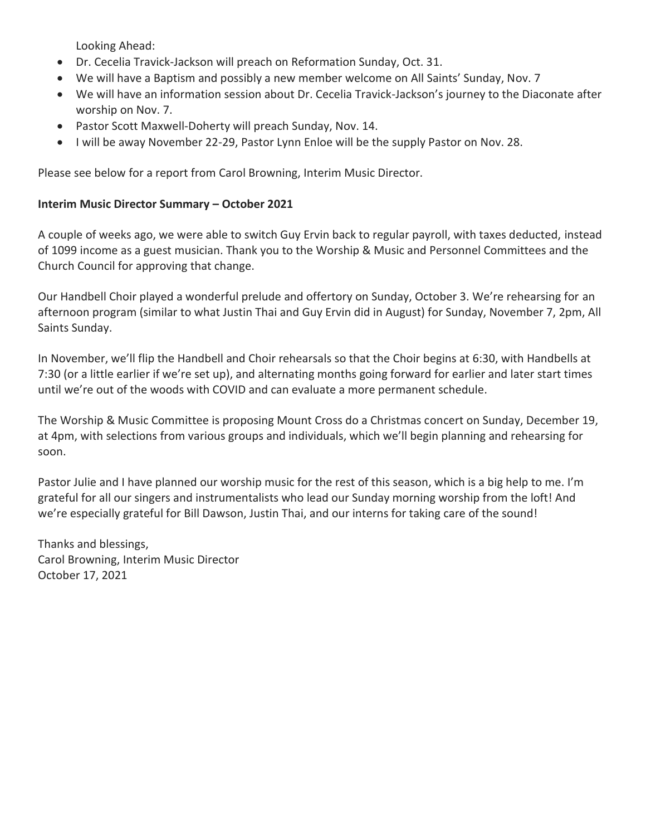Looking Ahead:

- Dr. Cecelia Travick-Jackson will preach on Reformation Sunday, Oct. 31.
- We will have a Baptism and possibly a new member welcome on All Saints' Sunday, Nov. 7
- We will have an information session about Dr. Cecelia Travick-Jackson's journey to the Diaconate after worship on Nov. 7.
- Pastor Scott Maxwell-Doherty will preach Sunday, Nov. 14.
- I will be away November 22-29, Pastor Lynn Enloe will be the supply Pastor on Nov. 28.

Please see below for a report from Carol Browning, Interim Music Director.

### **Interim Music Director Summary – October 2021**

A couple of weeks ago, we were able to switch Guy Ervin back to regular payroll, with taxes deducted, instead of 1099 income as a guest musician. Thank you to the Worship & Music and Personnel Committees and the Church Council for approving that change.

Our Handbell Choir played a wonderful prelude and offertory on Sunday, October 3. We're rehearsing for an afternoon program (similar to what Justin Thai and Guy Ervin did in August) for Sunday, November 7, 2pm, All Saints Sunday.

In November, we'll flip the Handbell and Choir rehearsals so that the Choir begins at 6:30, with Handbells at 7:30 (or a little earlier if we're set up), and alternating months going forward for earlier and later start times until we're out of the woods with COVID and can evaluate a more permanent schedule.

The Worship & Music Committee is proposing Mount Cross do a Christmas concert on Sunday, December 19, at 4pm, with selections from various groups and individuals, which we'll begin planning and rehearsing for soon.

Pastor Julie and I have planned our worship music for the rest of this season, which is a big help to me. I'm grateful for all our singers and instrumentalists who lead our Sunday morning worship from the loft! And we're especially grateful for Bill Dawson, Justin Thai, and our interns for taking care of the sound!

Thanks and blessings, Carol Browning, Interim Music Director October 17, 2021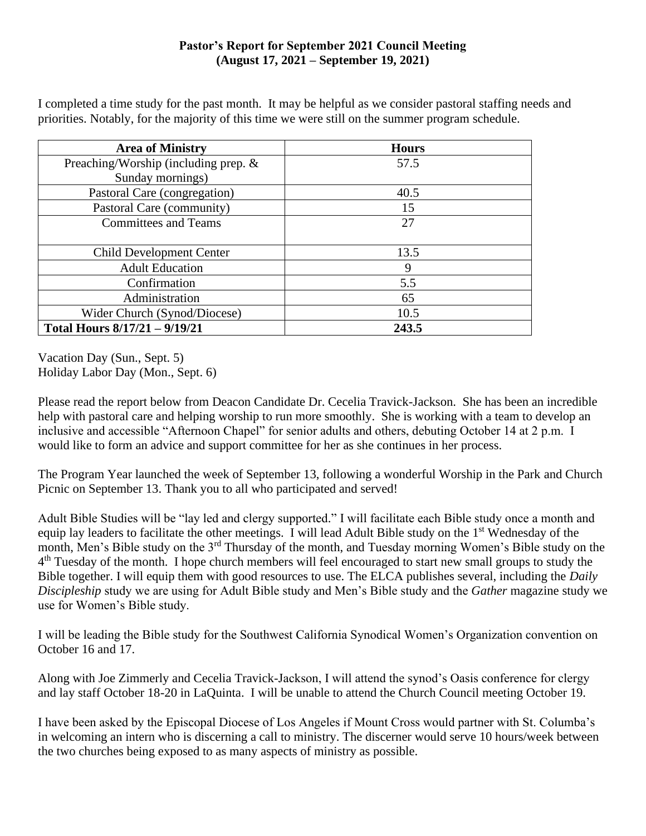### **Pastor's Report for September 2021 Council Meeting (August 17, 2021 – September 19, 2021)**

I completed a time study for the past month. It may be helpful as we consider pastoral staffing needs and priorities. Notably, for the majority of this time we were still on the summer program schedule.

| <b>Area of Ministry</b>              | <b>Hours</b> |
|--------------------------------------|--------------|
| Preaching/Worship (including prep. & | 57.5         |
| Sunday mornings)                     |              |
| Pastoral Care (congregation)         | 40.5         |
| Pastoral Care (community)            | 15           |
| <b>Committees and Teams</b>          | 27           |
|                                      |              |
| <b>Child Development Center</b>      | 13.5         |
| <b>Adult Education</b>               | 9            |
| Confirmation                         | 5.5          |
| Administration                       | 65           |
| Wider Church (Synod/Diocese)         | 10.5         |
| Total Hours 8/17/21 - 9/19/21        | 243.5        |

Vacation Day (Sun., Sept. 5) Holiday Labor Day (Mon., Sept. 6)

Please read the report below from Deacon Candidate Dr. Cecelia Travick-Jackson. She has been an incredible help with pastoral care and helping worship to run more smoothly. She is working with a team to develop an inclusive and accessible "Afternoon Chapel" for senior adults and others, debuting October 14 at 2 p.m. I would like to form an advice and support committee for her as she continues in her process.

The Program Year launched the week of September 13, following a wonderful Worship in the Park and Church Picnic on September 13. Thank you to all who participated and served!

Adult Bible Studies will be "lay led and clergy supported." I will facilitate each Bible study once a month and equip lay leaders to facilitate the other meetings. I will lead Adult Bible study on the 1st Wednesday of the month, Men's Bible study on the 3rd Thursday of the month, and Tuesday morning Women's Bible study on the 4<sup>th</sup> Tuesday of the month. I hope church members will feel encouraged to start new small groups to study the Bible together. I will equip them with good resources to use. The ELCA publishes several, including the *Daily Discipleship* study we are using for Adult Bible study and Men's Bible study and the *Gather* magazine study we use for Women's Bible study.

I will be leading the Bible study for the Southwest California Synodical Women's Organization convention on October 16 and 17.

Along with Joe Zimmerly and Cecelia Travick-Jackson, I will attend the synod's Oasis conference for clergy and lay staff October 18-20 in LaQuinta. I will be unable to attend the Church Council meeting October 19.

I have been asked by the Episcopal Diocese of Los Angeles if Mount Cross would partner with St. Columba's in welcoming an intern who is discerning a call to ministry. The discerner would serve 10 hours/week between the two churches being exposed to as many aspects of ministry as possible.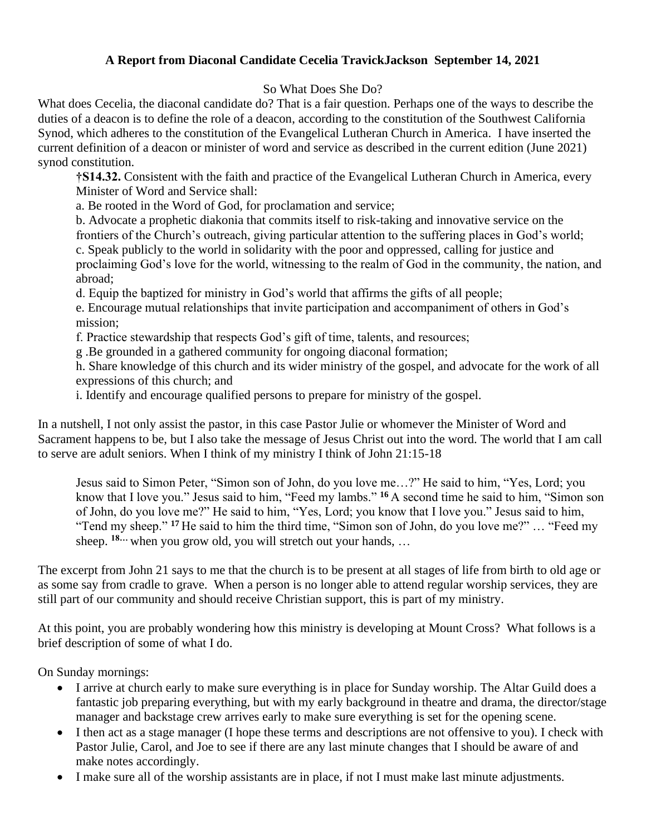### **A Report from Diaconal Candidate Cecelia TravickJackson September 14, 2021**

### So What Does She Do?

What does Cecelia, the diaconal candidate do? That is a fair question. Perhaps one of the ways to describe the duties of a deacon is to define the role of a deacon, according to the constitution of the Southwest California Synod, which adheres to the constitution of the Evangelical Lutheran Church in America. I have inserted the current definition of a deacon or minister of word and service as described in the current edition (June 2021) synod constitution.

**†S14.32.** Consistent with the faith and practice of the Evangelical Lutheran Church in America, every Minister of Word and Service shall:

a. Be rooted in the Word of God, for proclamation and service;

b. Advocate a prophetic diakonia that commits itself to risk-taking and innovative service on the frontiers of the Church's outreach, giving particular attention to the suffering places in God's world; c. Speak publicly to the world in solidarity with the poor and oppressed, calling for justice and proclaiming God's love for the world, witnessing to the realm of God in the community, the nation, and abroad;

d. Equip the baptized for ministry in God's world that affirms the gifts of all people;

e. Encourage mutual relationships that invite participation and accompaniment of others in God's mission;

f. Practice stewardship that respects God's gift of time, talents, and resources;

g .Be grounded in a gathered community for ongoing diaconal formation;

h. Share knowledge of this church and its wider ministry of the gospel, and advocate for the work of all expressions of this church; and

i. Identify and encourage qualified persons to prepare for ministry of the gospel.

In a nutshell, I not only assist the pastor, in this case Pastor Julie or whomever the Minister of Word and Sacrament happens to be, but I also take the message of Jesus Christ out into the word. The world that I am call to serve are adult seniors. When I think of my ministry I think of John 21:15-18

Jesus said to Simon Peter, "Simon son of John, do you love me…?" He said to him, "Yes, Lord; you know that I love you." Jesus said to him, "Feed my lambs." **<sup>16</sup>** A second time he said to him, "Simon son of John, do you love me?" He said to him, "Yes, Lord; you know that I love you." Jesus said to him, "Tend my sheep." **<sup>17</sup>** He said to him the third time, "Simon son of John, do you love me?" … "Feed my sheep. **18…** when you grow old, you will stretch out your hands, …

The excerpt from John 21 says to me that the church is to be present at all stages of life from birth to old age or as some say from cradle to grave. When a person is no longer able to attend regular worship services, they are still part of our community and should receive Christian support, this is part of my ministry.

At this point, you are probably wondering how this ministry is developing at Mount Cross? What follows is a brief description of some of what I do.

On Sunday mornings:

- I arrive at church early to make sure everything is in place for Sunday worship. The Altar Guild does a fantastic job preparing everything, but with my early background in theatre and drama, the director/stage manager and backstage crew arrives early to make sure everything is set for the opening scene.
- I then act as a stage manager (I hope these terms and descriptions are not offensive to you). I check with Pastor Julie, Carol, and Joe to see if there are any last minute changes that I should be aware of and make notes accordingly.
- I make sure all of the worship assistants are in place, if not I must make last minute adjustments.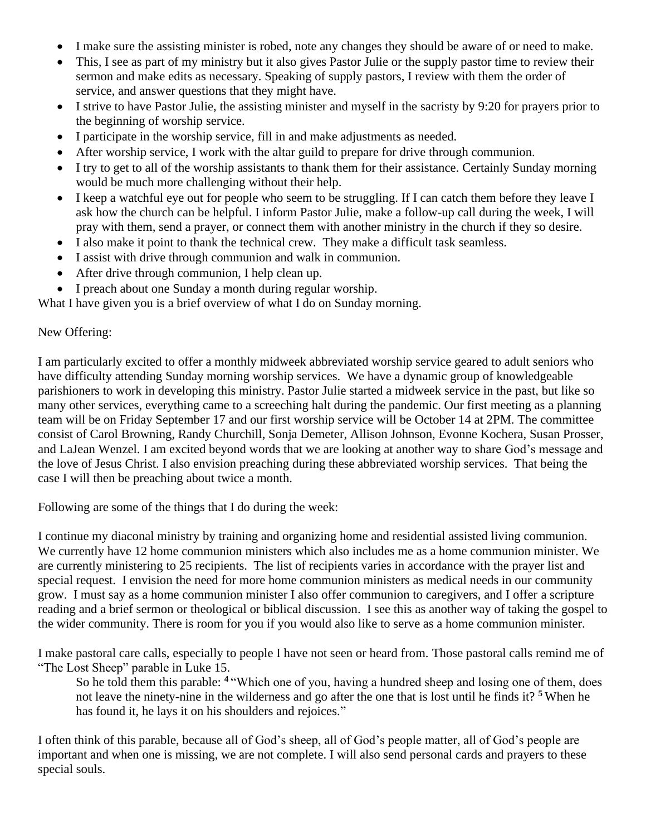- I make sure the assisting minister is robed, note any changes they should be aware of or need to make.
- This, I see as part of my ministry but it also gives Pastor Julie or the supply pastor time to review their sermon and make edits as necessary. Speaking of supply pastors, I review with them the order of service, and answer questions that they might have.
- I strive to have Pastor Julie, the assisting minister and myself in the sacristy by 9:20 for prayers prior to the beginning of worship service.
- I participate in the worship service, fill in and make adjustments as needed.
- After worship service, I work with the altar guild to prepare for drive through communion.
- I try to get to all of the worship assistants to thank them for their assistance. Certainly Sunday morning would be much more challenging without their help.
- I keep a watchful eye out for people who seem to be struggling. If I can catch them before they leave I ask how the church can be helpful. I inform Pastor Julie, make a follow-up call during the week, I will pray with them, send a prayer, or connect them with another ministry in the church if they so desire.
- I also make it point to thank the technical crew. They make a difficult task seamless.
- I assist with drive through communion and walk in communion.
- After drive through communion, I help clean up.
- I preach about one Sunday a month during regular worship.

What I have given you is a brief overview of what I do on Sunday morning.

#### New Offering:

I am particularly excited to offer a monthly midweek abbreviated worship service geared to adult seniors who have difficulty attending Sunday morning worship services. We have a dynamic group of knowledgeable parishioners to work in developing this ministry. Pastor Julie started a midweek service in the past, but like so many other services, everything came to a screeching halt during the pandemic. Our first meeting as a planning team will be on Friday September 17 and our first worship service will be October 14 at 2PM. The committee consist of Carol Browning, Randy Churchill, Sonja Demeter, Allison Johnson, Evonne Kochera, Susan Prosser, and LaJean Wenzel. I am excited beyond words that we are looking at another way to share God's message and the love of Jesus Christ. I also envision preaching during these abbreviated worship services. That being the case I will then be preaching about twice a month.

Following are some of the things that I do during the week:

I continue my diaconal ministry by training and organizing home and residential assisted living communion. We currently have 12 home communion ministers which also includes me as a home communion minister. We are currently ministering to 25 recipients. The list of recipients varies in accordance with the prayer list and special request. I envision the need for more home communion ministers as medical needs in our community grow. I must say as a home communion minister I also offer communion to caregivers, and I offer a scripture reading and a brief sermon or theological or biblical discussion. I see this as another way of taking the gospel to the wider community. There is room for you if you would also like to serve as a home communion minister.

I make pastoral care calls, especially to people I have not seen or heard from. Those pastoral calls remind me of "The Lost Sheep" parable in Luke 15.

So he told them this parable: **<sup>4</sup>** "Which one of you, having a hundred sheep and losing one of them, does not leave the ninety-nine in the wilderness and go after the one that is lost until he finds it? **<sup>5</sup>** When he has found it, he lays it on his shoulders and rejoices."

I often think of this parable, because all of God's sheep, all of God's people matter, all of God's people are important and when one is missing, we are not complete. I will also send personal cards and prayers to these special souls.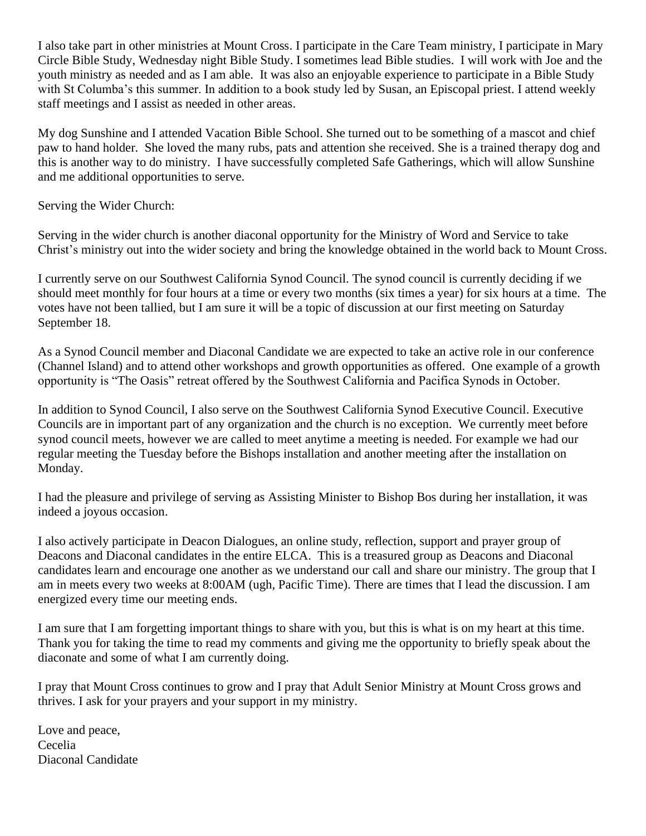I also take part in other ministries at Mount Cross. I participate in the Care Team ministry, I participate in Mary Circle Bible Study, Wednesday night Bible Study. I sometimes lead Bible studies. I will work with Joe and the youth ministry as needed and as I am able. It was also an enjoyable experience to participate in a Bible Study with St Columba's this summer. In addition to a book study led by Susan, an Episcopal priest. I attend weekly staff meetings and I assist as needed in other areas.

My dog Sunshine and I attended Vacation Bible School. She turned out to be something of a mascot and chief paw to hand holder. She loved the many rubs, pats and attention she received. She is a trained therapy dog and this is another way to do ministry. I have successfully completed Safe Gatherings, which will allow Sunshine and me additional opportunities to serve.

Serving the Wider Church:

Serving in the wider church is another diaconal opportunity for the Ministry of Word and Service to take Christ's ministry out into the wider society and bring the knowledge obtained in the world back to Mount Cross.

I currently serve on our Southwest California Synod Council. The synod council is currently deciding if we should meet monthly for four hours at a time or every two months (six times a year) for six hours at a time. The votes have not been tallied, but I am sure it will be a topic of discussion at our first meeting on Saturday September 18.

As a Synod Council member and Diaconal Candidate we are expected to take an active role in our conference (Channel Island) and to attend other workshops and growth opportunities as offered. One example of a growth opportunity is "The Oasis" retreat offered by the Southwest California and Pacifica Synods in October.

In addition to Synod Council, I also serve on the Southwest California Synod Executive Council. Executive Councils are in important part of any organization and the church is no exception. We currently meet before synod council meets, however we are called to meet anytime a meeting is needed. For example we had our regular meeting the Tuesday before the Bishops installation and another meeting after the installation on Monday.

I had the pleasure and privilege of serving as Assisting Minister to Bishop Bos during her installation, it was indeed a joyous occasion.

I also actively participate in Deacon Dialogues, an online study, reflection, support and prayer group of Deacons and Diaconal candidates in the entire ELCA. This is a treasured group as Deacons and Diaconal candidates learn and encourage one another as we understand our call and share our ministry. The group that I am in meets every two weeks at 8:00AM (ugh, Pacific Time). There are times that I lead the discussion. I am energized every time our meeting ends.

I am sure that I am forgetting important things to share with you, but this is what is on my heart at this time. Thank you for taking the time to read my comments and giving me the opportunity to briefly speak about the diaconate and some of what I am currently doing.

I pray that Mount Cross continues to grow and I pray that Adult Senior Ministry at Mount Cross grows and thrives. I ask for your prayers and your support in my ministry.

Love and peace, Cecelia Diaconal Candidate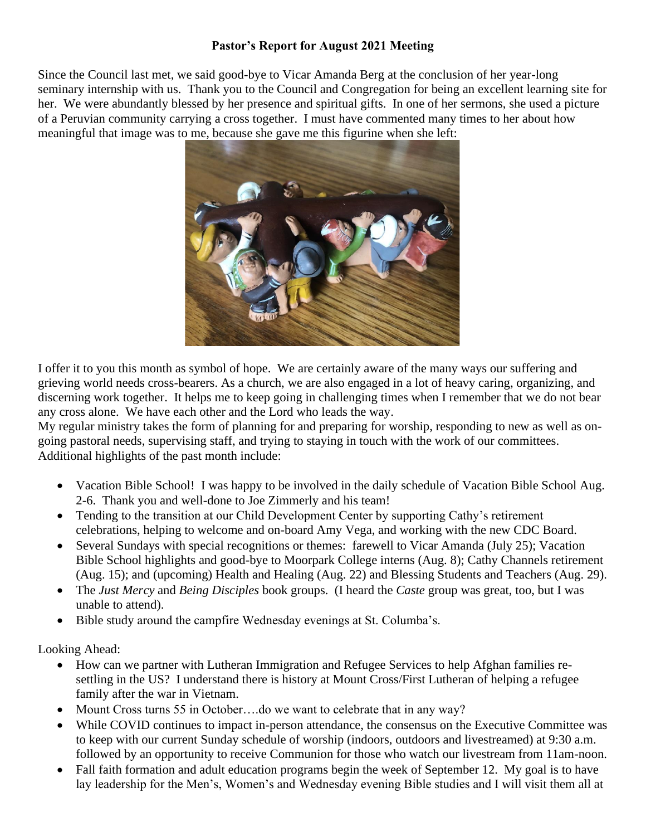### **Pastor's Report for August 2021 Meeting**

Since the Council last met, we said good-bye to Vicar Amanda Berg at the conclusion of her year-long seminary internship with us. Thank you to the Council and Congregation for being an excellent learning site for her. We were abundantly blessed by her presence and spiritual gifts. In one of her sermons, she used a picture of a Peruvian community carrying a cross together. I must have commented many times to her about how meaningful that image was to me, because she gave me this figurine when she left:



I offer it to you this month as symbol of hope. We are certainly aware of the many ways our suffering and grieving world needs cross-bearers. As a church, we are also engaged in a lot of heavy caring, organizing, and discerning work together. It helps me to keep going in challenging times when I remember that we do not bear any cross alone. We have each other and the Lord who leads the way.

My regular ministry takes the form of planning for and preparing for worship, responding to new as well as ongoing pastoral needs, supervising staff, and trying to staying in touch with the work of our committees. Additional highlights of the past month include:

- Vacation Bible School! I was happy to be involved in the daily schedule of Vacation Bible School Aug. 2-6. Thank you and well-done to Joe Zimmerly and his team!
- Tending to the transition at our Child Development Center by supporting Cathy's retirement celebrations, helping to welcome and on-board Amy Vega, and working with the new CDC Board.
- Several Sundays with special recognitions or themes: farewell to Vicar Amanda (July 25); Vacation Bible School highlights and good-bye to Moorpark College interns (Aug. 8); Cathy Channels retirement (Aug. 15); and (upcoming) Health and Healing (Aug. 22) and Blessing Students and Teachers (Aug. 29).
- The *Just Mercy* and *Being Disciples* book groups. (I heard the *Caste* group was great, too, but I was unable to attend).
- Bible study around the campfire Wednesday evenings at St. Columba's.

Looking Ahead:

- How can we partner with Lutheran Immigration and Refugee Services to help Afghan families resettling in the US? I understand there is history at Mount Cross/First Lutheran of helping a refugee family after the war in Vietnam.
- Mount Cross turns 55 in October....do we want to celebrate that in any way?
- While COVID continues to impact in-person attendance, the consensus on the Executive Committee was to keep with our current Sunday schedule of worship (indoors, outdoors and livestreamed) at 9:30 a.m. followed by an opportunity to receive Communion for those who watch our livestream from 11am-noon.
- Fall faith formation and adult education programs begin the week of September 12. My goal is to have lay leadership for the Men's, Women's and Wednesday evening Bible studies and I will visit them all at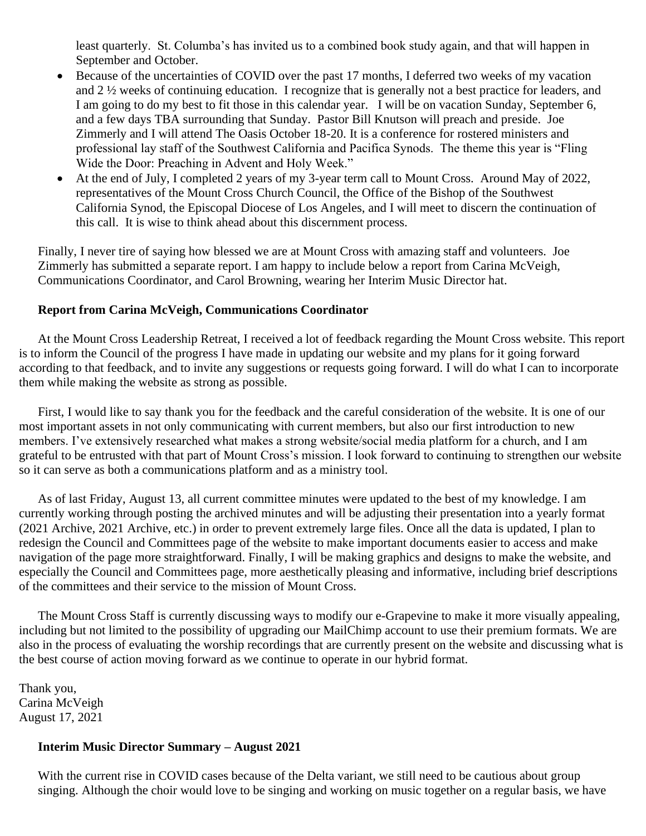least quarterly. St. Columba's has invited us to a combined book study again, and that will happen in September and October.

- Because of the uncertainties of COVID over the past 17 months, I deferred two weeks of my vacation and 2 ½ weeks of continuing education. I recognize that is generally not a best practice for leaders, and I am going to do my best to fit those in this calendar year. I will be on vacation Sunday, September 6, and a few days TBA surrounding that Sunday. Pastor Bill Knutson will preach and preside. Joe Zimmerly and I will attend The Oasis October 18-20. It is a conference for rostered ministers and professional lay staff of the Southwest California and Pacifica Synods. The theme this year is "Fling Wide the Door: Preaching in Advent and Holy Week."
- At the end of July, I completed 2 years of my 3-year term call to Mount Cross. Around May of 2022, representatives of the Mount Cross Church Council, the Office of the Bishop of the Southwest California Synod, the Episcopal Diocese of Los Angeles, and I will meet to discern the continuation of this call. It is wise to think ahead about this discernment process.

Finally, I never tire of saying how blessed we are at Mount Cross with amazing staff and volunteers. Joe Zimmerly has submitted a separate report. I am happy to include below a report from Carina McVeigh, Communications Coordinator, and Carol Browning, wearing her Interim Music Director hat.

#### **Report from Carina McVeigh, Communications Coordinator**

At the Mount Cross Leadership Retreat, I received a lot of feedback regarding the Mount Cross website. This report is to inform the Council of the progress I have made in updating our website and my plans for it going forward according to that feedback, and to invite any suggestions or requests going forward. I will do what I can to incorporate them while making the website as strong as possible.

First, I would like to say thank you for the feedback and the careful consideration of the website. It is one of our most important assets in not only communicating with current members, but also our first introduction to new members. I've extensively researched what makes a strong website/social media platform for a church, and I am grateful to be entrusted with that part of Mount Cross's mission. I look forward to continuing to strengthen our website so it can serve as both a communications platform and as a ministry tool.

As of last Friday, August 13, all current committee minutes were updated to the best of my knowledge. I am currently working through posting the archived minutes and will be adjusting their presentation into a yearly format (2021 Archive, 2021 Archive, etc.) in order to prevent extremely large files. Once all the data is updated, I plan to redesign the Council and Committees page of the website to make important documents easier to access and make navigation of the page more straightforward. Finally, I will be making graphics and designs to make the website, and especially the Council and Committees page, more aesthetically pleasing and informative, including brief descriptions of the committees and their service to the mission of Mount Cross.

The Mount Cross Staff is currently discussing ways to modify our e-Grapevine to make it more visually appealing, including but not limited to the possibility of upgrading our MailChimp account to use their premium formats. We are also in the process of evaluating the worship recordings that are currently present on the website and discussing what is the best course of action moving forward as we continue to operate in our hybrid format.

Thank you, Carina McVeigh August 17, 2021

#### **Interim Music Director Summary – August 2021**

With the current rise in COVID cases because of the Delta variant, we still need to be cautious about group singing. Although the choir would love to be singing and working on music together on a regular basis, we have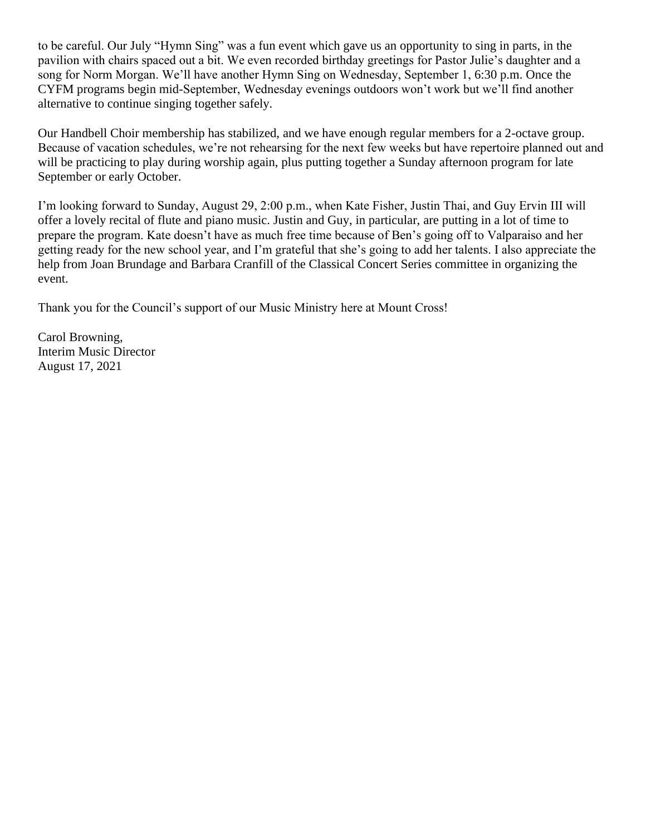to be careful. Our July "Hymn Sing" was a fun event which gave us an opportunity to sing in parts, in the pavilion with chairs spaced out a bit. We even recorded birthday greetings for Pastor Julie's daughter and a song for Norm Morgan. We'll have another Hymn Sing on Wednesday, September 1, 6:30 p.m. Once the CYFM programs begin mid-September, Wednesday evenings outdoors won't work but we'll find another alternative to continue singing together safely.

Our Handbell Choir membership has stabilized, and we have enough regular members for a 2-octave group. Because of vacation schedules, we're not rehearsing for the next few weeks but have repertoire planned out and will be practicing to play during worship again, plus putting together a Sunday afternoon program for late September or early October.

I'm looking forward to Sunday, August 29, 2:00 p.m., when Kate Fisher, Justin Thai, and Guy Ervin III will offer a lovely recital of flute and piano music. Justin and Guy, in particular, are putting in a lot of time to prepare the program. Kate doesn't have as much free time because of Ben's going off to Valparaiso and her getting ready for the new school year, and I'm grateful that she's going to add her talents. I also appreciate the help from Joan Brundage and Barbara Cranfill of the Classical Concert Series committee in organizing the event.

Thank you for the Council's support of our Music Ministry here at Mount Cross!

Carol Browning, Interim Music Director August 17, 2021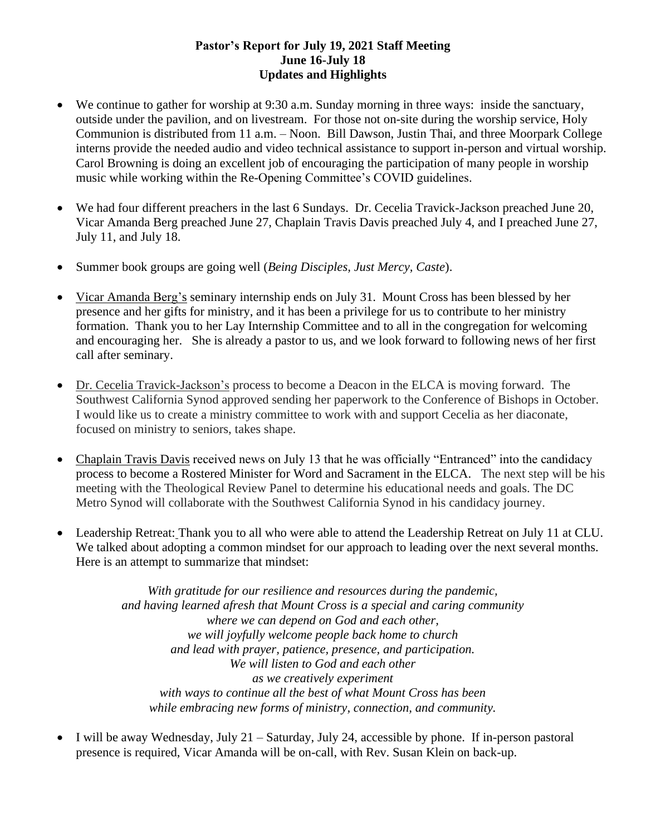#### **Pastor's Report for July 19, 2021 Staff Meeting June 16-July 18 Updates and Highlights**

- We continue to gather for worship at 9:30 a.m. Sunday morning in three ways: inside the sanctuary, outside under the pavilion, and on livestream. For those not on-site during the worship service, Holy Communion is distributed from 11 a.m. – Noon. Bill Dawson, Justin Thai, and three Moorpark College interns provide the needed audio and video technical assistance to support in-person and virtual worship. Carol Browning is doing an excellent job of encouraging the participation of many people in worship music while working within the Re-Opening Committee's COVID guidelines.
- We had four different preachers in the last 6 Sundays. Dr. Cecelia Travick-Jackson preached June 20, Vicar Amanda Berg preached June 27, Chaplain Travis Davis preached July 4, and I preached June 27, July 11, and July 18.
- Summer book groups are going well (*Being Disciples, Just Mercy, Caste*).
- Vicar Amanda Berg's seminary internship ends on July 31. Mount Cross has been blessed by her presence and her gifts for ministry, and it has been a privilege for us to contribute to her ministry formation. Thank you to her Lay Internship Committee and to all in the congregation for welcoming and encouraging her. She is already a pastor to us, and we look forward to following news of her first call after seminary.
- Dr. Cecelia Travick-Jackson's process to become a Deacon in the ELCA is moving forward. The Southwest California Synod approved sending her paperwork to the Conference of Bishops in October. I would like us to create a ministry committee to work with and support Cecelia as her diaconate, focused on ministry to seniors, takes shape.
- Chaplain Travis Davis received news on July 13 that he was officially "Entranced" into the candidacy process to become a Rostered Minister for Word and Sacrament in the ELCA. The next step will be his meeting with the Theological Review Panel to determine his educational needs and goals. The DC Metro Synod will collaborate with the Southwest California Synod in his candidacy journey.
- Leadership Retreat: Thank you to all who were able to attend the Leadership Retreat on July 11 at CLU. We talked about adopting a common mindset for our approach to leading over the next several months. Here is an attempt to summarize that mindset:

*With gratitude for our resilience and resources during the pandemic, and having learned afresh that Mount Cross is a special and caring community where we can depend on God and each other, we will joyfully welcome people back home to church and lead with prayer, patience, presence, and participation. We will listen to God and each other as we creatively experiment with ways to continue all the best of what Mount Cross has been while embracing new forms of ministry, connection, and community.*

• I will be away Wednesday, July 21 – Saturday, July 24, accessible by phone. If in-person pastoral presence is required, Vicar Amanda will be on-call, with Rev. Susan Klein on back-up.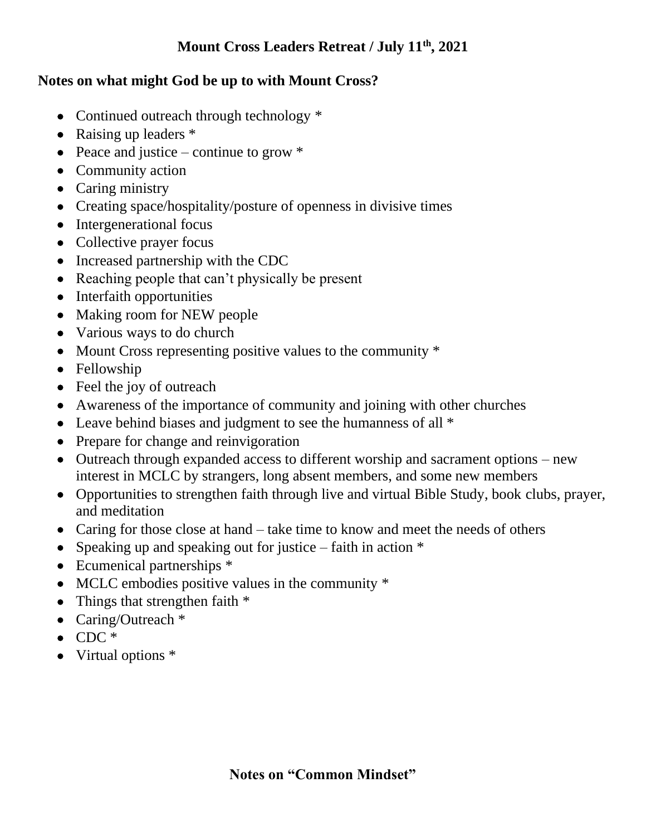# **Mount Cross Leaders Retreat / July 11th, 2021**

# **Notes on what might God be up to with Mount Cross?**

- Continued outreach through technology  $*$
- Raising up leaders  $*$
- Peace and justice continue to grow  $*$
- Community action
- Caring ministry
- Creating space/hospitality/posture of openness in divisive times
- Intergenerational focus
- Collective prayer focus
- Increased partnership with the CDC
- Reaching people that can't physically be present
- Interfaith opportunities
- Making room for NEW people
- Various ways to do church
- Mount Cross representing positive values to the community  $*$
- Fellowship
- Feel the joy of outreach
- Awareness of the importance of community and joining with other churches
- Leave behind biases and judgment to see the humanness of all  $*$
- Prepare for change and reinvigoration
- Outreach through expanded access to different worship and sacrament options new interest in MCLC by strangers, long absent members, and some new members
- Opportunities to strengthen faith through live and virtual Bible Study, book clubs, prayer, and meditation
- Caring for those close at hand take time to know and meet the needs of others
- Speaking up and speaking out for justice faith in action  $*$
- Ecumenical partnerships  $*$
- MCLC embodies positive values in the community  $*$
- Things that strengthen faith  $*$
- Caring/Outreach  $*$
- $\bullet$  CDC  $*$
- Virtual options \*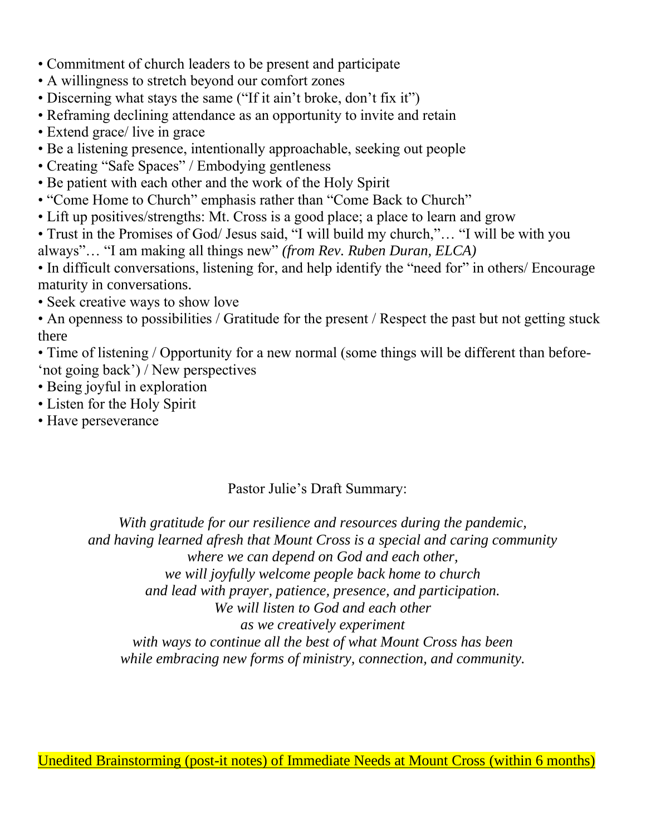- Commitment of church leaders to be present and participate
- A willingness to stretch beyond our comfort zones
- Discerning what stays the same ("If it ain't broke, don't fix it")
- Reframing declining attendance as an opportunity to invite and retain
- Extend grace/ live in grace
- Be a listening presence, intentionally approachable, seeking out people
- Creating "Safe Spaces" / Embodying gentleness
- Be patient with each other and the work of the Holy Spirit
- "Come Home to Church" emphasis rather than "Come Back to Church"
- Lift up positives/strengths: Mt. Cross is a good place; a place to learn and grow
- Trust in the Promises of God/ Jesus said, "I will build my church,"… "I will be with you always"… "I am making all things new" *(from Rev. Ruben Duran, ELCA)*

• In difficult conversations, listening for, and help identify the "need for" in others/ Encourage maturity in conversations.

• Seek creative ways to show love

• An openness to possibilities / Gratitude for the present / Respect the past but not getting stuck there

- Time of listening / Opportunity for a new normal (some things will be different than before- 'not going back') / New perspectives
- Being joyful in exploration
- Listen for the Holy Spirit
- Have perseverance

# Pastor Julie's Draft Summary:

*With gratitude for our resilience and resources during the pandemic, and having learned afresh that Mount Cross is a special and caring community where we can depend on God and each other, we will joyfully welcome people back home to church and lead with prayer, patience, presence, and participation. We will listen to God and each other as we creatively experiment with ways to continue all the best of what Mount Cross has been while embracing new forms of ministry, connection, and community.*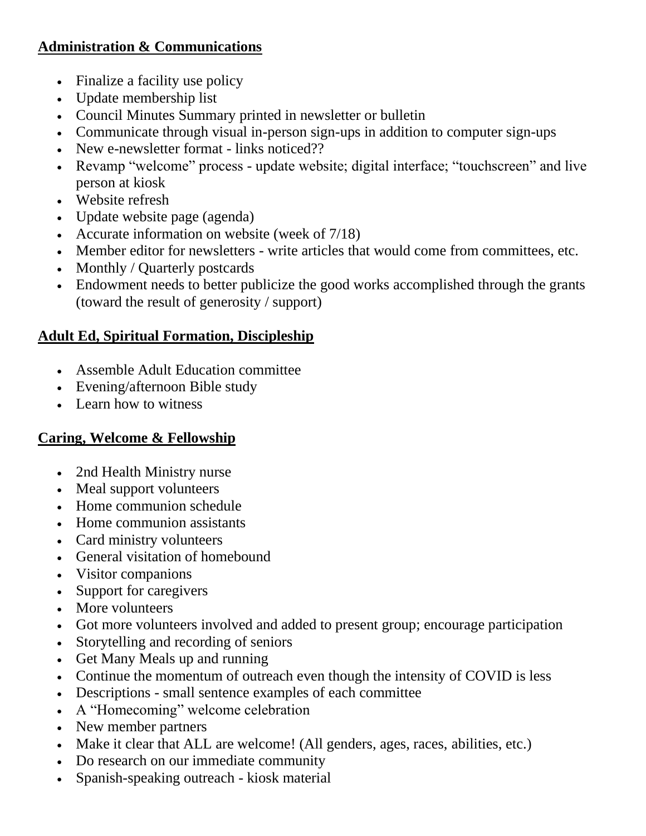# **Administration & Communications**

- Finalize a facility use policy
- Update membership list
- Council Minutes Summary printed in newsletter or bulletin
- Communicate through visual in-person sign-ups in addition to computer sign-ups
- New e-newsletter format links noticed??
- Revamp "welcome" process update website; digital interface; "touchscreen" and live person at kiosk
- Website refresh
- Update website page (agenda)
- Accurate information on website (week of 7/18)
- Member editor for newsletters write articles that would come from committees, etc.
- Monthly / Quarterly postcards
- Endowment needs to better publicize the good works accomplished through the grants (toward the result of generosity / support)

# **Adult Ed, Spiritual Formation, Discipleship**

- Assemble Adult Education committee
- Evening/afternoon Bible study
- Learn how to witness

# **Caring, Welcome & Fellowship**

- 2nd Health Ministry nurse
- Meal support volunteers
- Home communion schedule
- Home communion assistants
- Card ministry volunteers
- General visitation of homebound
- Visitor companions
- Support for caregivers
- More volunteers
- Got more volunteers involved and added to present group; encourage participation
- Storytelling and recording of seniors
- Get Many Meals up and running
- Continue the momentum of outreach even though the intensity of COVID is less
- Descriptions small sentence examples of each committee
- A "Homecoming" welcome celebration
- New member partners
- Make it clear that ALL are welcome! (All genders, ages, races, abilities, etc.)
- Do research on our immediate community
- Spanish-speaking outreach kiosk material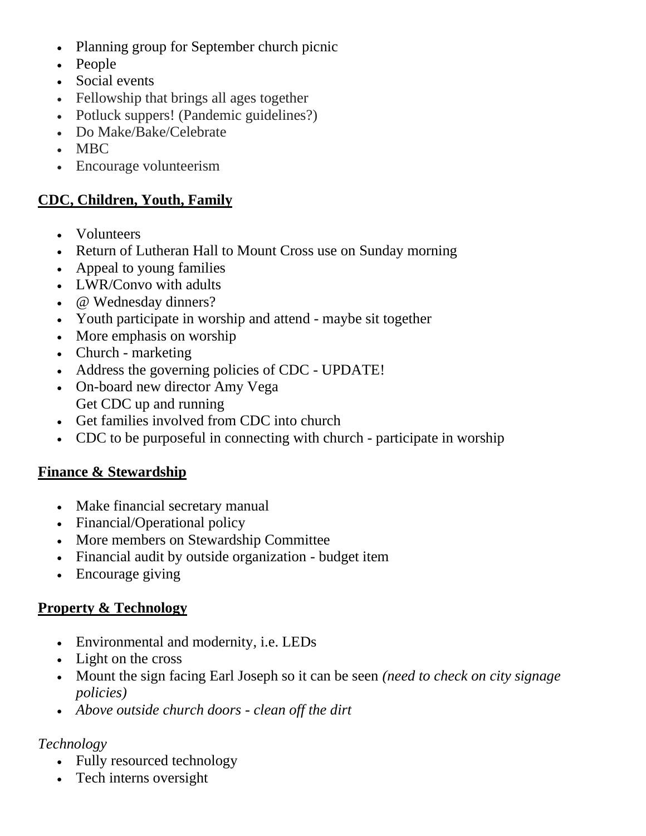- Planning group for September church picnic
- People
- Social events
- Fellowship that brings all ages together
- Potluck suppers! (Pandemic guidelines?)
- Do Make/Bake/Celebrate
- MBC
- Encourage volunteerism

# **CDC, Children, Youth, Family**

- Volunteers
- Return of Lutheran Hall to Mount Cross use on Sunday morning
- Appeal to young families
- LWR/Convo with adults
- @ Wednesday dinners?
- Youth participate in worship and attend maybe sit together
- More emphasis on worship
- Church marketing
- Address the governing policies of CDC UPDATE!
- On-board new director Amy Vega Get CDC up and running
- Get families involved from CDC into church
- CDC to be purposeful in connecting with church participate in worship

# **Finance & Stewardship**

- Make financial secretary manual
- Financial/Operational policy
- More members on Stewardship Committee
- Financial audit by outside organization budget item
- Encourage giving

# **Property & Technology**

- Environmental and modernity, i.e. LEDs
- Light on the cross
- Mount the sign facing Earl Joseph so it can be seen *(need to check on city signage policies)*
- *Above outside church doors - clean off the dirt*

# *Technology*

- Fully resourced technology
- Tech interns oversight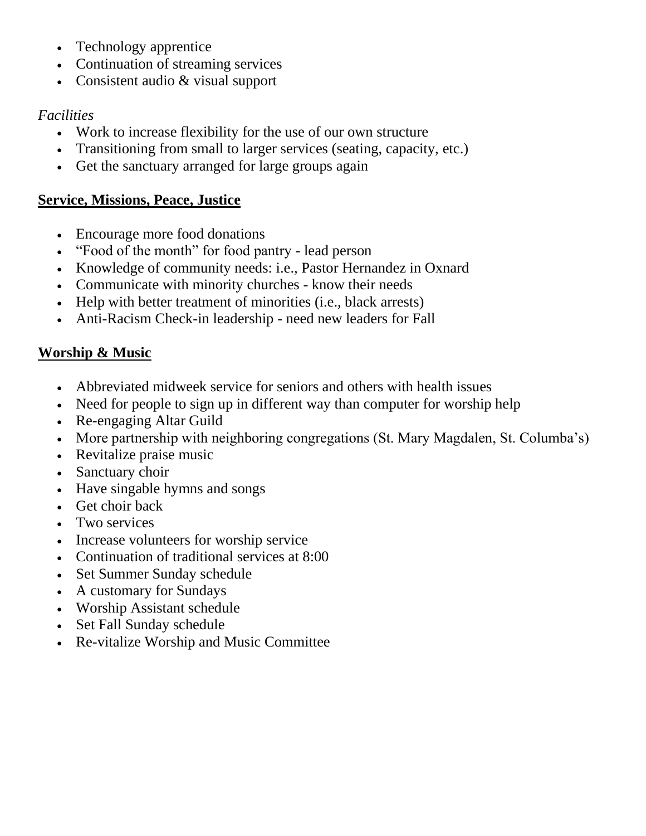- Technology apprentice
- Continuation of streaming services
- Consistent audio & visual support

# *Facilities*

- Work to increase flexibility for the use of our own structure
- Transitioning from small to larger services (seating, capacity, etc.)
- Get the sanctuary arranged for large groups again

# **Service, Missions, Peace, Justice**

- Encourage more food donations
- "Food of the month" for food pantry lead person
- Knowledge of community needs: i.e., Pastor Hernandez in Oxnard
- Communicate with minority churches know their needs
- Help with better treatment of minorities (i.e., black arrests)
- Anti-Racism Check-in leadership need new leaders for Fall

# **Worship & Music**

- Abbreviated midweek service for seniors and others with health issues
- Need for people to sign up in different way than computer for worship help
- Re-engaging Altar Guild
- More partnership with neighboring congregations (St. Mary Magdalen, St. Columba's)
- Revitalize praise music
- Sanctuary choir
- Have singable hymns and songs
- Get choir back
- Two services
- Increase volunteers for worship service
- Continuation of traditional services at 8:00
- Set Summer Sunday schedule
- A customary for Sundays
- Worship Assistant schedule
- Set Fall Sunday schedule
- Re-vitalize Worship and Music Committee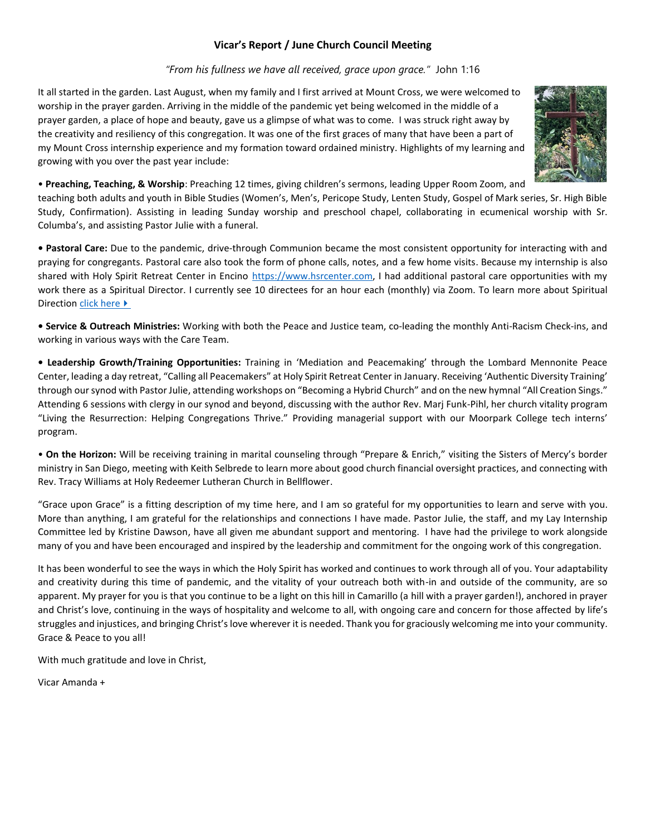#### **Vicar's Report / June Church Council Meeting**

#### *"From his fullness we have all received, grace upon grace."* John 1:16

It all started in the garden. Last August, when my family and I first arrived at Mount Cross, we were welcomed to worship in the prayer garden. Arriving in the middle of the pandemic yet being welcomed in the middle of a prayer garden, a place of hope and beauty, gave us a glimpse of what was to come. I was struck right away by the creativity and resiliency of this congregation. It was one of the first graces of many that have been a part of my Mount Cross internship experience and my formation toward ordained ministry. Highlights of my learning and growing with you over the past year include:



• **Preaching, Teaching, & Worship**: Preaching 12 times, giving children's sermons, leading Upper Room Zoom, and

teaching both adults and youth in Bible Studies (Women's, Men's, Pericope Study, Lenten Study, Gospel of Mark series, Sr. High Bible Study, Confirmation). Assisting in leading Sunday worship and preschool chapel, collaborating in ecumenical worship with Sr. Columba's, and assisting Pastor Julie with a funeral.

**• Pastoral Care:** Due to the pandemic, drive-through Communion became the most consistent opportunity for interacting with and praying for congregants. Pastoral care also took the form of phone calls, notes, and a few home visits. Because my internship is also shared with Holy Spirit Retreat Center in Encino [https://www.hsrcenter.com,](https://www.hsrcenter.com/) I had additional pastoral care opportunities with my work there as a Spiritual Director. I currently see 10 directees for an hour each (monthly) via Zoom. To learn more about Spiritual Direction [click here](https://www.hsrcenter.com/AboutUs/ourservices)  $\blacktriangleright$ 

**• Service & Outreach Ministries:** Working with both the Peace and Justice team, co-leading the monthly Anti-Racism Check-ins, and working in various ways with the Care Team.

**• Leadership Growth/Training Opportunities:** Training in 'Mediation and Peacemaking' through the Lombard Mennonite Peace Center, leading a day retreat, "Calling all Peacemakers" at Holy Spirit Retreat Center in January. Receiving 'Authentic Diversity Training' through our synod with Pastor Julie, attending workshops on "Becoming a Hybrid Church" and on the new hymnal "All Creation Sings." Attending 6 sessions with clergy in our synod and beyond, discussing with the author Rev. Marj Funk-Pihl, her church vitality program "Living the Resurrection: Helping Congregations Thrive." Providing managerial support with our Moorpark College tech interns' program.

• **On the Horizon:** Will be receiving training in marital counseling through "Prepare & Enrich," visiting the Sisters of Mercy's border ministry in San Diego, meeting with Keith Selbrede to learn more about good church financial oversight practices, and connecting with Rev. Tracy Williams at Holy Redeemer Lutheran Church in Bellflower.

"Grace upon Grace" is a fitting description of my time here, and I am so grateful for my opportunities to learn and serve with you. More than anything, I am grateful for the relationships and connections I have made. Pastor Julie, the staff, and my Lay Internship Committee led by Kristine Dawson, have all given me abundant support and mentoring. I have had the privilege to work alongside many of you and have been encouraged and inspired by the leadership and commitment for the ongoing work of this congregation.

It has been wonderful to see the ways in which the Holy Spirit has worked and continues to work through all of you. Your adaptability and creativity during this time of pandemic, and the vitality of your outreach both with-in and outside of the community, are so apparent. My prayer for you is that you continue to be a light on this hill in Camarillo (a hill with a prayer garden!), anchored in prayer and Christ's love, continuing in the ways of hospitality and welcome to all, with ongoing care and concern for those affected by life's struggles and injustices, and bringing Christ's love wherever it is needed. Thank you for graciously welcoming me into your community. Grace & Peace to you all!

With much gratitude and love in Christ,

Vicar Amanda +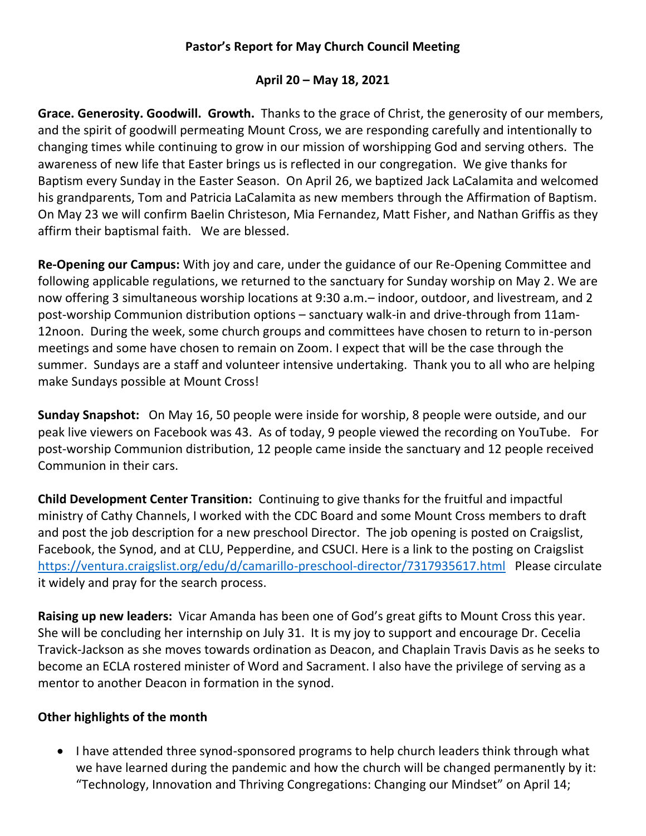## **Pastor's Report for May Church Council Meeting**

### **April 20 – May 18, 2021**

**Grace. Generosity. Goodwill. Growth.** Thanks to the grace of Christ, the generosity of our members, and the spirit of goodwill permeating Mount Cross, we are responding carefully and intentionally to changing times while continuing to grow in our mission of worshipping God and serving others. The awareness of new life that Easter brings us is reflected in our congregation. We give thanks for Baptism every Sunday in the Easter Season. On April 26, we baptized Jack LaCalamita and welcomed his grandparents, Tom and Patricia LaCalamita as new members through the Affirmation of Baptism. On May 23 we will confirm Baelin Christeson, Mia Fernandez, Matt Fisher, and Nathan Griffis as they affirm their baptismal faith. We are blessed.

**Re-Opening our Campus:** With joy and care, under the guidance of our Re-Opening Committee and following applicable regulations, we returned to the sanctuary for Sunday worship on May 2. We are now offering 3 simultaneous worship locations at 9:30 a.m.– indoor, outdoor, and livestream, and 2 post-worship Communion distribution options – sanctuary walk-in and drive-through from 11am-12noon. During the week, some church groups and committees have chosen to return to in-person meetings and some have chosen to remain on Zoom. I expect that will be the case through the summer. Sundays are a staff and volunteer intensive undertaking. Thank you to all who are helping make Sundays possible at Mount Cross!

**Sunday Snapshot:** On May 16, 50 people were inside for worship, 8 people were outside, and our peak live viewers on Facebook was 43. As of today, 9 people viewed the recording on YouTube. For post-worship Communion distribution, 12 people came inside the sanctuary and 12 people received Communion in their cars.

**Child Development Center Transition:** Continuing to give thanks for the fruitful and impactful ministry of Cathy Channels, I worked with the CDC Board and some Mount Cross members to draft and post the job description for a new preschool Director. The job opening is posted on Craigslist, Facebook, the Synod, and at CLU, Pepperdine, and CSUCI. Here is a link to the posting on Craigslist <https://ventura.craigslist.org/edu/d/camarillo-preschool-director/7317935617.html> Please circulate it widely and pray for the search process.

**Raising up new leaders:** Vicar Amanda has been one of God's great gifts to Mount Cross this year. She will be concluding her internship on July 31. It is my joy to support and encourage Dr. Cecelia Travick-Jackson as she moves towards ordination as Deacon, and Chaplain Travis Davis as he seeks to become an ECLA rostered minister of Word and Sacrament. I also have the privilege of serving as a mentor to another Deacon in formation in the synod.

### **Other highlights of the month**

• I have attended three synod-sponsored programs to help church leaders think through what we have learned during the pandemic and how the church will be changed permanently by it: "Technology, Innovation and Thriving Congregations: Changing our Mindset" on April 14;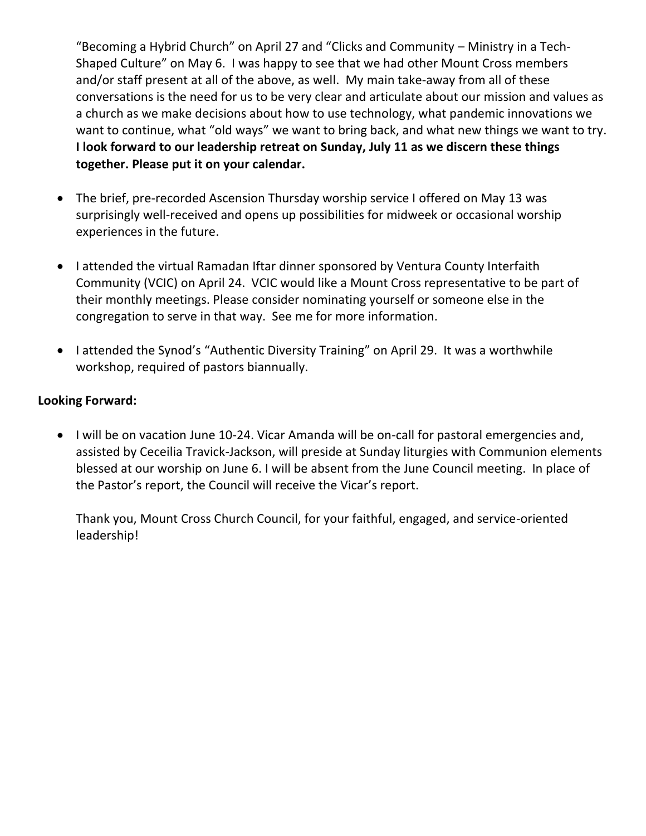"Becoming a Hybrid Church" on April 27 and "Clicks and Community – Ministry in a Tech-Shaped Culture" on May 6. I was happy to see that we had other Mount Cross members and/or staff present at all of the above, as well. My main take-away from all of these conversations is the need for us to be very clear and articulate about our mission and values as a church as we make decisions about how to use technology, what pandemic innovations we want to continue, what "old ways" we want to bring back, and what new things we want to try. **I look forward to our leadership retreat on Sunday, July 11 as we discern these things together. Please put it on your calendar.** 

- The brief, pre-recorded Ascension Thursday worship service I offered on May 13 was surprisingly well-received and opens up possibilities for midweek or occasional worship experiences in the future.
- I attended the virtual Ramadan Iftar dinner sponsored by Ventura County Interfaith Community (VCIC) on April 24. VCIC would like a Mount Cross representative to be part of their monthly meetings. Please consider nominating yourself or someone else in the congregation to serve in that way. See me for more information.
- I attended the Synod's "Authentic Diversity Training" on April 29. It was a worthwhile workshop, required of pastors biannually.

## **Looking Forward:**

• I will be on vacation June 10-24. Vicar Amanda will be on-call for pastoral emergencies and, assisted by Ceceilia Travick-Jackson, will preside at Sunday liturgies with Communion elements blessed at our worship on June 6. I will be absent from the June Council meeting. In place of the Pastor's report, the Council will receive the Vicar's report.

Thank you, Mount Cross Church Council, for your faithful, engaged, and service-oriented leadership!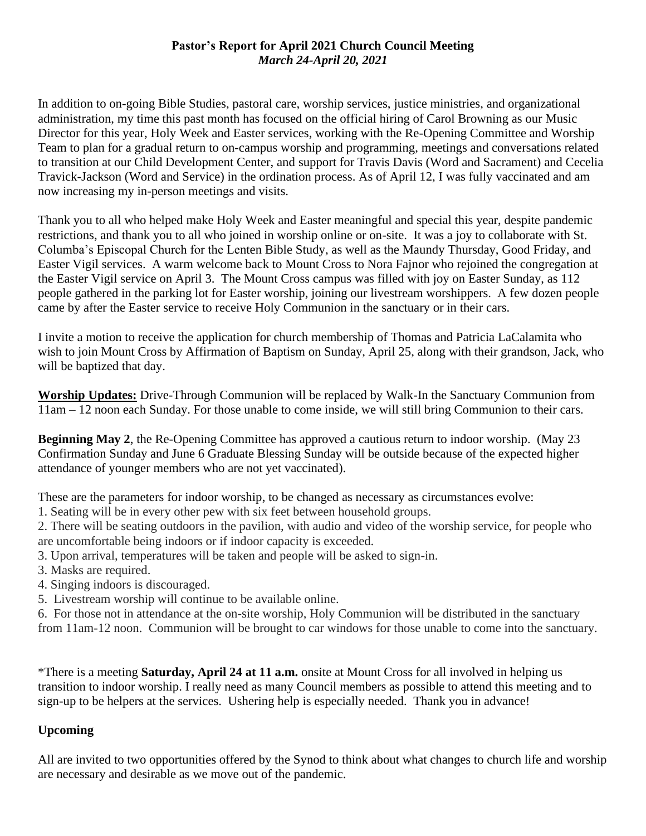### **Pastor's Report for April 2021 Church Council Meeting** *March 24-April 20, 2021*

In addition to on-going Bible Studies, pastoral care, worship services, justice ministries, and organizational administration, my time this past month has focused on the official hiring of Carol Browning as our Music Director for this year, Holy Week and Easter services, working with the Re-Opening Committee and Worship Team to plan for a gradual return to on-campus worship and programming, meetings and conversations related to transition at our Child Development Center, and support for Travis Davis (Word and Sacrament) and Cecelia Travick-Jackson (Word and Service) in the ordination process. As of April 12, I was fully vaccinated and am now increasing my in-person meetings and visits.

Thank you to all who helped make Holy Week and Easter meaningful and special this year, despite pandemic restrictions, and thank you to all who joined in worship online or on-site. It was a joy to collaborate with St. Columba's Episcopal Church for the Lenten Bible Study, as well as the Maundy Thursday, Good Friday, and Easter Vigil services. A warm welcome back to Mount Cross to Nora Fajnor who rejoined the congregation at the Easter Vigil service on April 3. The Mount Cross campus was filled with joy on Easter Sunday, as 112 people gathered in the parking lot for Easter worship, joining our livestream worshippers. A few dozen people came by after the Easter service to receive Holy Communion in the sanctuary or in their cars.

I invite a motion to receive the application for church membership of Thomas and Patricia LaCalamita who wish to join Mount Cross by Affirmation of Baptism on Sunday, April 25, along with their grandson, Jack, who will be baptized that day.

**Worship Updates:** Drive-Through Communion will be replaced by Walk-In the Sanctuary Communion from 11am – 12 noon each Sunday. For those unable to come inside, we will still bring Communion to their cars.

**Beginning May 2**, the Re-Opening Committee has approved a cautious return to indoor worship. (May 23 Confirmation Sunday and June 6 Graduate Blessing Sunday will be outside because of the expected higher attendance of younger members who are not yet vaccinated).

These are the parameters for indoor worship, to be changed as necessary as circumstances evolve:

1. Seating will be in every other pew with six feet between household groups.

2. There will be seating outdoors in the pavilion, with audio and video of the worship service, for people who are uncomfortable being indoors or if indoor capacity is exceeded.

3. Upon arrival, temperatures will be taken and people will be asked to sign-in.

- 3. Masks are required.
- 4. Singing indoors is discouraged.
- 5. Livestream worship will continue to be available online.

6. For those not in attendance at the on-site worship, Holy Communion will be distributed in the sanctuary from 11am-12 noon. Communion will be brought to car windows for those unable to come into the sanctuary.

\*There is a meeting **Saturday, April 24 at 11 a.m.** onsite at Mount Cross for all involved in helping us transition to indoor worship. I really need as many Council members as possible to attend this meeting and to sign-up to be helpers at the services. Ushering help is especially needed. Thank you in advance!

### **Upcoming**

All are invited to two opportunities offered by the Synod to think about what changes to church life and worship are necessary and desirable as we move out of the pandemic.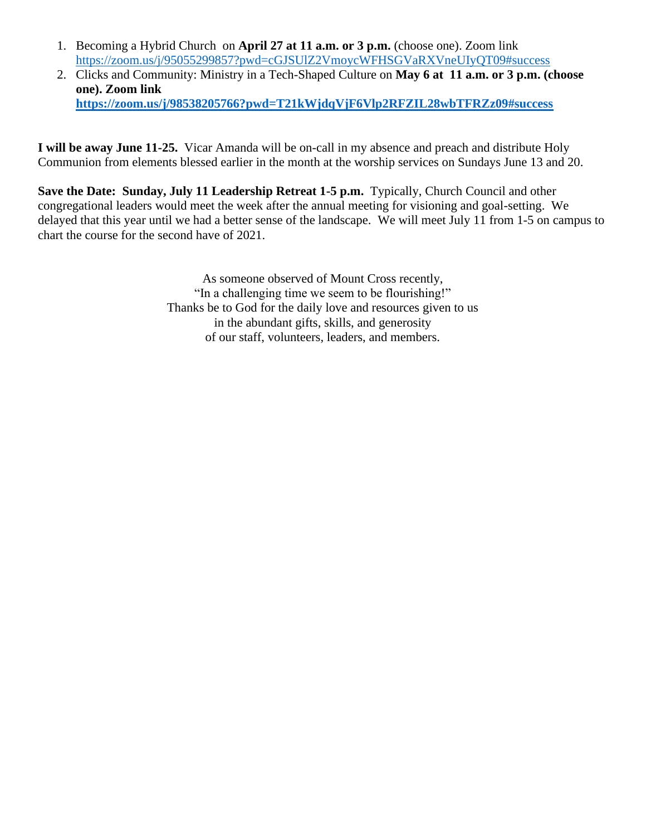- 1. Becoming a Hybrid Church on **April 27 at 11 a.m. or 3 p.m.** (choose one). Zoom link <https://zoom.us/j/95055299857?pwd=cGJSUlZ2VmoycWFHSGVaRXVneUIyQT09#success>
- 2. Clicks and Community: Ministry in a Tech-Shaped Culture on **May 6 at 11 a.m. or 3 p.m. (choose one). Zoom link <https://zoom.us/j/98538205766?pwd=T21kWjdqVjF6Vlp2RFZIL28wbTFRZz09#success>**

**I will be away June 11-25.** Vicar Amanda will be on-call in my absence and preach and distribute Holy Communion from elements blessed earlier in the month at the worship services on Sundays June 13 and 20.

**Save the Date: Sunday, July 11 Leadership Retreat 1-5 p.m.** Typically, Church Council and other congregational leaders would meet the week after the annual meeting for visioning and goal-setting. We delayed that this year until we had a better sense of the landscape. We will meet July 11 from 1-5 on campus to chart the course for the second have of 2021.

> As someone observed of Mount Cross recently, "In a challenging time we seem to be flourishing!" Thanks be to God for the daily love and resources given to us in the abundant gifts, skills, and generosity of our staff, volunteers, leaders, and members.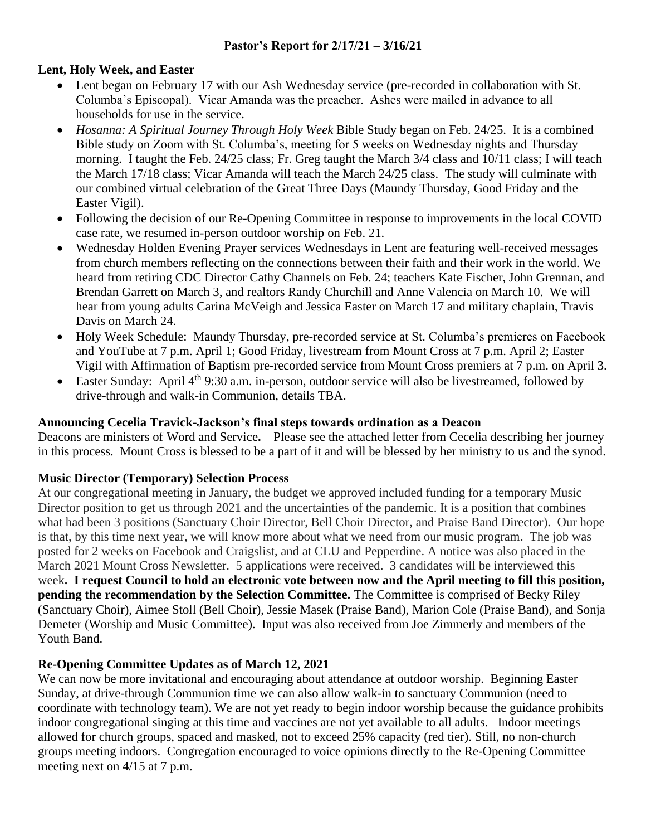### **Lent, Holy Week, and Easter**

- Lent began on February 17 with our Ash Wednesday service (pre-recorded in collaboration with St. Columba's Episcopal). Vicar Amanda was the preacher. Ashes were mailed in advance to all households for use in the service.
- *Hosanna: A Spiritual Journey Through Holy Week* Bible Study began on Feb. 24/25. It is a combined Bible study on Zoom with St. Columba's, meeting for 5 weeks on Wednesday nights and Thursday morning. I taught the Feb. 24/25 class; Fr. Greg taught the March 3/4 class and 10/11 class; I will teach the March 17/18 class; Vicar Amanda will teach the March 24/25 class. The study will culminate with our combined virtual celebration of the Great Three Days (Maundy Thursday, Good Friday and the Easter Vigil).
- Following the decision of our Re-Opening Committee in response to improvements in the local COVID case rate, we resumed in-person outdoor worship on Feb. 21.
- Wednesday Holden Evening Prayer services Wednesdays in Lent are featuring well-received messages from church members reflecting on the connections between their faith and their work in the world. We heard from retiring CDC Director Cathy Channels on Feb. 24; teachers Kate Fischer, John Grennan, and Brendan Garrett on March 3, and realtors Randy Churchill and Anne Valencia on March 10. We will hear from young adults Carina McVeigh and Jessica Easter on March 17 and military chaplain, Travis Davis on March 24.
- Holy Week Schedule: Maundy Thursday, pre-recorded service at St. Columba's premieres on Facebook and YouTube at 7 p.m. April 1; Good Friday, livestream from Mount Cross at 7 p.m. April 2; Easter Vigil with Affirmation of Baptism pre-recorded service from Mount Cross premiers at 7 p.m. on April 3.
- Easter Sunday: April  $4^{th}$  9:30 a.m. in-person, outdoor service will also be livestreamed, followed by drive-through and walk-in Communion, details TBA.

### **Announcing Cecelia Travick-Jackson's final steps towards ordination as a Deacon**

Deacons are ministers of Word and Service**.** Please see the attached letter from Cecelia describing her journey in this process. Mount Cross is blessed to be a part of it and will be blessed by her ministry to us and the synod.

### **Music Director (Temporary) Selection Process**

At our congregational meeting in January, the budget we approved included funding for a temporary Music Director position to get us through 2021 and the uncertainties of the pandemic. It is a position that combines what had been 3 positions (Sanctuary Choir Director, Bell Choir Director, and Praise Band Director). Our hope is that, by this time next year, we will know more about what we need from our music program. The job was posted for 2 weeks on Facebook and Craigslist, and at CLU and Pepperdine. A notice was also placed in the March 2021 Mount Cross Newsletter. 5 applications were received. 3 candidates will be interviewed this week**. I request Council to hold an electronic vote between now and the April meeting to fill this position, pending the recommendation by the Selection Committee.** The Committee is comprised of Becky Riley (Sanctuary Choir), Aimee Stoll (Bell Choir), Jessie Masek (Praise Band), Marion Cole (Praise Band), and Sonja Demeter (Worship and Music Committee). Input was also received from Joe Zimmerly and members of the Youth Band.

### **Re-Opening Committee Updates as of March 12, 2021**

We can now be more invitational and encouraging about attendance at outdoor worship. Beginning Easter Sunday, at drive-through Communion time we can also allow walk-in to sanctuary Communion (need to coordinate with technology team). We are not yet ready to begin indoor worship because the guidance prohibits indoor congregational singing at this time and vaccines are not yet available to all adults. Indoor meetings allowed for church groups, spaced and masked, not to exceed 25% capacity (red tier). Still, no non-church groups meeting indoors. Congregation encouraged to voice opinions directly to the Re-Opening Committee meeting next on 4/15 at 7 p.m.